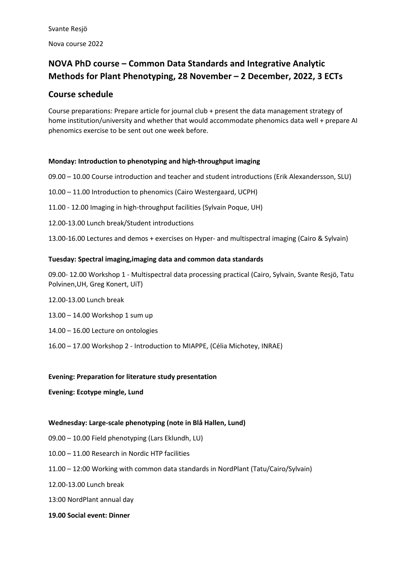# **NOVA PhD course – Common Data Standards and Integrative Analytic Methods for Plant Phenotyping, 28 November – 2 December, 2022, 3 ECTs**

# **Course schedule**

Course preparations: Prepare article for journal club + present the data management strategy of home institution/university and whether that would accommodate phenomics data well + prepare AI phenomics exercise to be sent out one week before.

### **Monday: Introduction to phenotyping and high-throughput imaging**

09.00 – 10.00 Course introduction and teacher and student introductions (Erik Alexandersson, SLU) 10.00 – 11.00 Introduction to phenomics (Cairo Westergaard, UCPH) 11.00 - 12.00 Imaging in high-throughput facilities (Sylvain Poque, UH) 12.00-13.00 Lunch break/Student introductions 13.00-16.00 Lectures and demos + exercises on Hyper- and multispectral imaging (Cairo & Sylvain)

## **Tuesday: Spectral imaging,imaging data and common data standards**

09.00- 12.00 Workshop 1 - Multispectral data processing practical (Cairo, Sylvain, Svante Resjö, Tatu Polvinen,UH, Greg Konert, UiT)

- 12.00-13.00 Lunch break
- 13.00 14.00 Workshop 1 sum up
- 14.00 16.00 Lecture on ontologies
- 16.00 17.00 Workshop 2 Introduction to MIAPPE, (Célia Michotey, INRAE)

### **Evening: Preparation for literature study presentation**

### **Evening: Ecotype mingle, Lund**

### **Wednesday: Large-scale phenotyping (note in Blå Hallen, Lund)**

- 09.00 10.00 Field phenotyping (Lars Eklundh, LU)
- 10.00 11.00 Research in Nordic HTP facilities
- 11.00 12:00 Working with common data standards in NordPlant (Tatu/Cairo/Sylvain)
- 12.00-13.00 Lunch break
- 13:00 NordPlant annual day
- **19.00 Social event: Dinner**